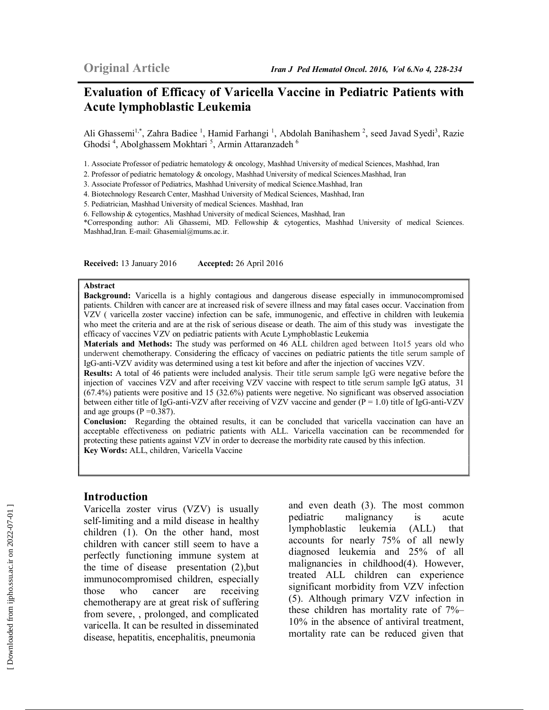## **Evaluation of Efficacy of Varicella Vaccine in Pediatric Patients with Acute lymphoblastic Leukemia**

Ali Ghassemi<sup>1,\*</sup>, Zahra Badiee<sup>1</sup>, Hamid Farhangi<sup>1</sup>, Abdolah Banihashem<sup>2</sup>, seed Javad Syedi<sup>3</sup>, Razie Ghodsi<sup>4</sup>, Abolghassem Mokhtari<sup>5</sup>, Armin Attaranzadeh<sup>6</sup>

1. Associate Professor of pediatric hematology & oncology, Mashhad University of medical Sciences, Mashhad, Iran

2. Professor of pediatric hematology & oncology, Mashhad University of medical Sciences.Mashhad, Iran

3. Associate Professor of Pediatrics, Mashhad University of medical Science.Mashhad, Iran

4. Biotechnology Research Center, Mashhad University of Medical Sciences, Mashhad, Iran

5. Pediatrician, Mashhad University of medical Sciences. Mashhad, Iran

6. Fellowship & cytogentics, Mashhad University of medical Sciences, Mashhad, Iran

\*Corresponding author: Ali Ghassemi, MD. Fellowship & cytogentics, Mashhad University of medical Sciences. Mashhad,Iran. E-mail: Ghasemial@mums.ac.ir.

**Received:** 13 January 2016 **Accepted:** 26 April 2016

#### **Abstract**

**Background:** Varicella is a highly contagious and dangerous disease especially in immunocompromised patients. Children with cancer are at increased risk of severe illness and may fatal cases occur. Vaccination from VZV ( varicella zoster vaccine) infection can be safe, immunogenic, and effective in children with leukemia who meet the criteria and are at the risk of serious disease or death. The aim of this study was investigate the efficacy of vaccines VZV on pediatric patients with Acute Lymphoblastic Leukemia

**Materials and Methods:** The study was performed on 46 ALL children aged between 1to15 years old who underwent chemotherapy. Considering the efficacy of vaccines on pediatric patients the title serum sample of IgG-anti-VZV avidity was determined using a test kit before and after the injection of vaccines VZV.

**Results:** A total of 46 patients were included analysis. Their title serum sample IgG were negative before the injection of vaccines VZV and after receiving VZV vaccine with respect to title serum sample IgG atatus, 31 (67.4%) patients were positive and 15 (32.6%) patients were negetive. No significant was observed association between either title of IgG-anti-VZV after receiving of VZV vaccine and gender (P = 1.0) title of IgG-anti-VZV and age groups  $(P = 0.387)$ .

**Conclusion:** Regarding the obtained results, it can be concluded that varicella vaccination can have an acceptable effectiveness on pediatric patients with ALL. Varicella vaccination can be recommended for protecting these patients against VZV in order to decrease the morbidity rate caused by this infection. **Key Words:** ALL, children, Varicella Vaccine

#### **Introduction**

Varicella zoster virus (VZV) is usually self-limiting and a mild disease in healthy children (1). On the other hand, most children with cancer still seem to have a perfectly functioning immune system at the time of disease presentation (2),but immunocompromised children, especially those who cancer are receiving chemotherapy are at great risk of suffering from severe, , prolonged, and complicated varicella. It can be resulted in disseminated disease, hepatitis, encephalitis, pneumonia

and even death (3). The most common pediatric malignancy is acute lymphoblastic leukemia (ALL) that accounts for nearly 75% of all newly diagnosed leukemia and 25% of all malignancies in childhood(4). However, treated ALL children can experience significant morbidity from VZV infection (5). Although primary VZV infection in these children has mortality rate of 7%– 10% in the absence of antiviral treatment, mortality rate can be reduced given that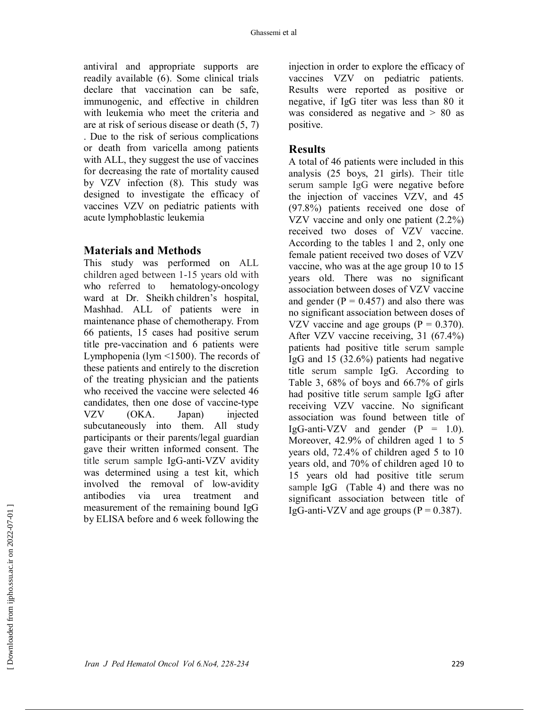antiviral and appropriate supports are readily available (6). Some clinical trials declare that vaccination can be safe, immunogenic, and effective in children with leukemia who meet the criteria and are at risk of serious disease or death (5, 7) . Due to the risk of serious complications or death from varicella among patients with ALL, they suggest the use of vaccines for decreasing the rate of mortality caused by VZV infection (8). This study was designed to investigate the efficacy of vaccines VZV on pediatric patients with acute lymphoblastic leukemia

### **Materials and Methods**

This study was performed on ALL children aged between 1-15 years old with who referred to hematology-oncology ward at Dr. Sheikh children's hospital, Mashhad. ALL of patients were in maintenance phase of chemotherapy. From 66 patients, 15 cases had positive serum title pre-vaccination and 6 patients were Lymphopenia (lym <1500). The records of these patients and entirely to the discretion of the treating physician and the patients who received the vaccine were selected 46 candidates, then one dose of vaccine-type VZV (OKA. Japan) injected subcutaneously into them. All study participants or their parents/legal guardian gave their written informed consent. The title serum sample IgG-anti-VZV avidity was determined using a test kit, which involved the removal of low-avidity antibodies via urea treatment and measurement of the remaining bound IgG by ELISA before and 6 week following the

injection in order to explore the efficacy of vaccines VZV on pediatric patients. Results were reported as positive or negative, if IgG titer was less than 80 it was considered as negative and > 80 as positive.

## **Results**

A total of 46 patients were included in this analysis (25 boys, 21 girls). Their title serum sample IgG were negative before the injection of vaccines VZV, and 45 (97.8%) patients received one dose of VZV vaccine and only one patient (2.2%) received two doses of VZV vaccine. According to the tables 1 and 2, only one female patient received two doses of VZV vaccine, who was at the age group 10 to 15 years old. There was no significant association between doses of VZV vaccine and gender  $(P = 0.457)$  and also there was no significant association between doses of VZV vaccine and age groups  $(P = 0.370)$ . After VZV vaccine receiving, 31 (67.4%) patients had positive title serum sample IgG and 15 (32.6%) patients had negative title serum sample IgG. According to Table 3, 68% of boys and 66.7% of girls had positive title serum sample IgG after receiving VZV vaccine. No significant association was found between title of IgG-anti-VZV and gender  $(P = 1.0)$ . Moreover, 42.9% of children aged 1 to 5 years old, 72.4% of children aged 5 to 10 years old, and 70% of children aged 10 to 15 years old had positive title serum sample IgG (Table 4) and there was no significant association between title of IgG-anti-VZV and age groups  $(P = 0.387)$ .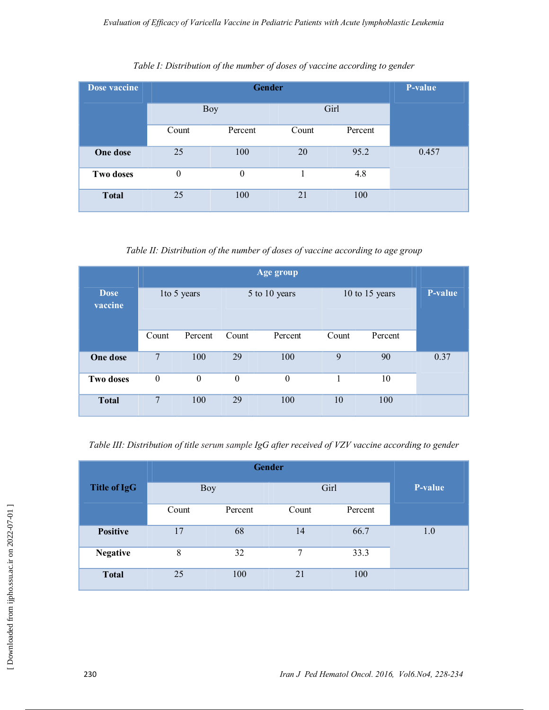| <b>Dose vaccine</b> |          | P-value    |       |         |       |
|---------------------|----------|------------|-------|---------|-------|
|                     |          | <b>Boy</b> |       | Girl    |       |
|                     | Count    | Percent    | Count | Percent |       |
| One dose            | 25       | 100        | 20    | 95.2    | 0.457 |
| Two doses           | $\theta$ | $\theta$   |       | 4.8     |       |
| <b>Total</b>        | 25       | 100        | 21    | 100     |       |

#### *Table I: Distribution of the number of doses of vaccine according to gender*

*Table II: Distribution of the number of doses of vaccine according to age group* 

| Age group              |                  |                  |                  |          |                |         |         |
|------------------------|------------------|------------------|------------------|----------|----------------|---------|---------|
| <b>Dose</b><br>vaccine | 1 to 5 years     |                  | 5 to 10 years    |          | 10 to 15 years |         | P-value |
|                        | Count            | Percent          | Count            | Percent  | Count          | Percent |         |
| One dose               | $\overline{7}$   | 100              | 29               | 100      | 9              | 90      | 0.37    |
| <b>Two doses</b>       | $\boldsymbol{0}$ | $\boldsymbol{0}$ | $\boldsymbol{0}$ | $\theta$ | 1              | 10      |         |
| <b>Total</b>           | 7                | 100              | 29               | 100      | 10             | 100     |         |

*Table III: Distribution of title serum sample IgG after received of VZV vaccine according to gender* 

| <b>Title of IgG</b> |       | <b>Boy</b> | Girl  | <b>P-value</b> |     |
|---------------------|-------|------------|-------|----------------|-----|
|                     | Count | Percent    | Count | Percent        |     |
| <b>Positive</b>     | 17    | 68         | 14    | 66.7           | 1.0 |
| <b>Negative</b>     | 8     | 32         | 7     | 33.3           |     |
| <b>Total</b>        | 25    | 100        | 21    | 100            |     |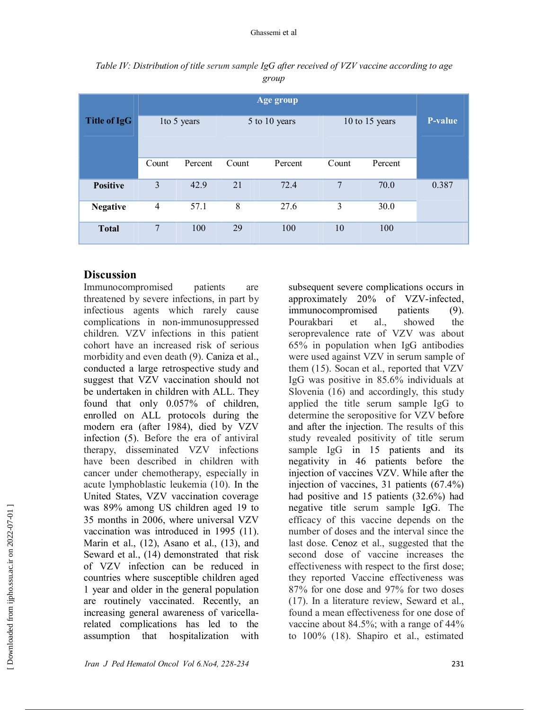|                 | Age group       |         |               |         |                |         |                |
|-----------------|-----------------|---------|---------------|---------|----------------|---------|----------------|
| Title of IgG    | 1to 5 years     |         | 5 to 10 years |         | 10 to 15 years |         | <b>P-value</b> |
|                 | Count           | Percent | Count         | Percent | Count          | Percent |                |
| <b>Positive</b> | 3               | 42.9    | 21            | 72.4    | 7              | 70.0    | 0.387          |
| <b>Negative</b> | $\overline{4}$  | 57.1    | 8             | 27.6    | $\overline{3}$ | 30.0    |                |
| <b>Total</b>    | $7\phantom{.0}$ | 100     | 29            | 100     | 10             | 100     |                |

*Table IV: Distribution of title serum sample IgG after received of VZV vaccine according to age group* 

## **Discussion**

Immunocompromised patients are threatened by severe infections, in part by infectious agents which rarely cause complications in non-immunosuppressed children. VZV infections in this patient cohort have an increased risk of serious morbidity and even death (9). Caniza et al., conducted a large retrospective study and suggest that VZV vaccination should not be undertaken in children with ALL. They found that only 0.057% of children, enrolled on ALL protocols during the modern era (after 1984), died by VZV infection (5). Before the era of antiviral therapy, disseminated VZV infections have been described in children with cancer under chemotherapy, especially in acute lymphoblastic leukemia (10). In the United States, VZV vaccination coverage was 89% among US children aged 19 to 35 months in 2006, where universal VZV vaccination was introduced in 1995 (11). Marin et al., (12), Asano et al., (13), and Seward et al., (14) demonstrated that risk of VZV infection can be reduced in countries where susceptible children aged 1 year and older in the general population are routinely vaccinated. Recently, an increasing general awareness of varicellarelated complications has led to the assumption that hospitalization with

subsequent severe complications occurs in approximately 20% of VZV-infected, immunocompromised patients (9). Pourakbari et al., showed the seroprevalence rate of VZV was about 65% in population when IgG antibodies were used against VZV in serum sample of them (15). Socan et al., reported that VZV IgG was positive in 85.6% individuals at Slovenia (16) and accordingly, this study applied the title serum sample IgG to determine the seropositive for VZV before and after the injection. The results of this study revealed positivity of title serum sample IgG in 15 patients and its negativity in 46 patients before the injection of vaccines VZV. While after the injection of vaccines, 31 patients (67.4%) had positive and 15 patients (32.6%) had negative title serum sample IgG. The efficacy of this vaccine depends on the number of doses and the interval since the last dose. Cenoz et al., suggested that the second dose of vaccine increases the effectiveness with respect to the first dose; they reported Vaccine effectiveness was 87% for one dose and 97% for two doses (17). In a literature review, Seward et al., found a mean effectiveness for one dose of vaccine about 84.5%; with a range of 44% to 100% (18). Shapiro et al., estimated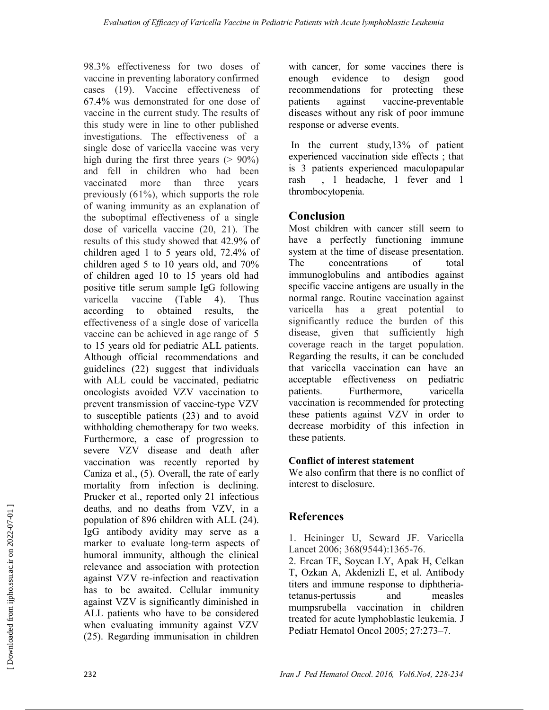98.3% effectiveness for two doses of vaccine in preventing laboratory confirmed cases (19). Vaccine effectiveness of 67.4% was demonstrated for one dose of vaccine in the current study. The results of this study were in line to other published investigations. The effectiveness of a single dose of varicella vaccine was very high during the first three years  $(> 90\%)$ and fell in children who had been vaccinated more than three years previously (61%), which supports the role of waning immunity as an explanation of the suboptimal effectiveness of a single dose of varicella vaccine (20, 21). The results of this study showed that 42.9% of children aged 1 to 5 years old, 72.4% of children aged 5 to 10 years old, and 70% of children aged 10 to 15 years old had positive title serum sample IgG following varicella vaccine (Table 4). Thus<br>according to obtained results, the according to obtained results, the effectiveness of a single dose of varicella vaccine can be achieved in age range of 5 to 15 years old for pediatric ALL patients. Although official recommendations and guidelines (22) suggest that individuals with ALL could be vaccinated, pediatric oncologists avoided VZV vaccination to prevent transmission of vaccine-type VZV to susceptible patients (23) and to avoid withholding chemotherapy for two weeks. Furthermore, a case of progression to severe VZV disease and death after vaccination was recently reported by Caniza et al., (5). Overall, the rate of early mortality from infection is declining. Prucker et al., reported only 21 infectious deaths, and no deaths from VZV, in a population of 896 children with ALL (24). IgG antibody avidity may serve as a marker to evaluate long-term aspects of humoral immunity, although the clinical relevance and association with protection against VZV re-infection and reactivation has to be awaited. Cellular immunity against VZV is significantly diminished in ALL patients who have to be considered when evaluating immunity against VZV (25). Regarding immunisation in children

with cancer, for some vaccines there is enough evidence to design good recommendations for protecting these patients against vaccine-preventable diseases without any risk of poor immune response or adverse events.

 In the current study,13% of patient experienced vaccination side effects ; that is 3 patients experienced maculopapular rash , 1 headache, 1 fever and 1 thrombocytopenia.

## **Conclusion**

Most children with cancer still seem to have a perfectly functioning immune system at the time of disease presentation. The concentrations of total immunoglobulins and antibodies against specific vaccine antigens are usually in the normal range. Routine vaccination against varicella has a great potential to significantly reduce the burden of this disease, given that sufficiently high coverage reach in the target population. Regarding the results, it can be concluded that varicella vaccination can have an acceptable effectiveness on pediatric patients. Furthermore, varicella vaccination is recommended for protecting these patients against VZV in order to decrease morbidity of this infection in these patients.

## **Conflict of interest statement**

We also confirm that there is no conflict of interest to disclosure.

# **References**

1. Heininger U, Seward JF. Varicella Lancet 2006; 368(9544):1365-76.

2. Ercan TE, Soycan LY, Apak H, Celkan T, Ozkan A, Akdenizli E, et al. Antibody titers and immune response to diphtheriatetanus-pertussis and measles mumpsrubella vaccination in children treated for acute lymphoblastic leukemia. J Pediatr Hematol Oncol 2005; 27:273–7.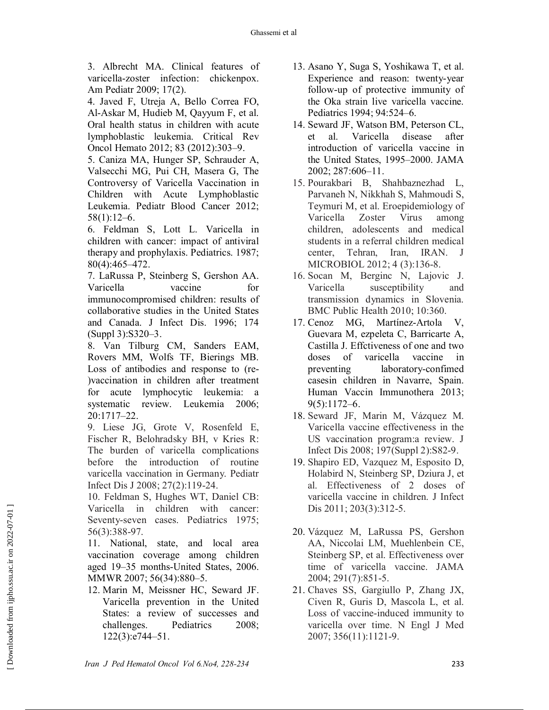3. Albrecht MA. Clinical features of varicella-zoster infection: chickenpox. Am Pediatr 2009; 17(2).

4. Javed F, Utreja A, Bello Correa FO, Al-Askar M, Hudieb M, Qayyum F, et al. Oral health status in children with acute lymphoblastic leukemia. Critical Rev Oncol Hemato 2012; 83 (2012):303–9.

5. Caniza MA, Hunger SP, Schrauder A, Valsecchi MG, Pui CH, Masera G, The Controversy of Varicella Vaccination in Children with Acute Lymphoblastic Leukemia. Pediatr Blood Cancer 2012; 58(1):12–6.

6. Feldman S, Lott L. Varicella in children with cancer: impact of antiviral therapy and prophylaxis. Pediatrics. 1987; 80(4):465–472.

7. LaRussa P, Steinberg S, Gershon AA. Varicella vaccine for immunocompromised children: results of collaborative studies in the United States and Canada. J Infect Dis. 1996; 174 (Suppl 3):S320–3.

8. Van Tilburg CM, Sanders EAM, Rovers MM, Wolfs TF, Bierings MB. Loss of antibodies and response to (re- )vaccination in children after treatment for acute lymphocytic leukemia: a systematic review. Leukemia 2006; 20:1717–22.

9. Liese JG, Grote V, Rosenfeld E, Fischer R, Belohradsky BH, v Kries R: The burden of varicella complications before the introduction of routine varicella vaccination in Germany. Pediatr Infect Dis J 2008; 27(2):119-24.

10. Feldman S, Hughes WT, Daniel CB: Varicella in children with cancer: Seventy-seven cases. Pediatrics 1975; 56(3):388-97.

11. National, state, and local area vaccination coverage among children aged 19–35 months-United States, 2006. MMWR 2007; 56(34):880–5.

12. Marin M, Meissner HC, Seward JF. Varicella prevention in the United States: a review of successes and challenges. Pediatrics 2008; 122(3):e744–51.

- 13. Asano Y, Suga S, Yoshikawa T, et al. Experience and reason: twenty-year follow-up of protective immunity of the Oka strain live varicella vaccine. Pediatrics 1994; 94:524–6.
- 14. Seward JF, Watson BM, Peterson CL, et al. Varicella disease after introduction of varicella vaccine in the United States, 1995–2000. JAMA 2002; 287:606–11.
- 15. Pourakbari B, Shahbaznezhad L, Parvaneh N, Nikkhah S, Mahmoudi S, Teymuri M, et al. Eroepidemiology of Varicella Zoster Virus among children, adolescents and medical students in a referral children medical center, Tehran, Iran, IRAN. J MICROBIOL 2012; 4 (3):136-8.
- 16. Socan M, Berginc N, Lajovic J. Varicella susceptibility and transmission dynamics in Slovenia. BMC Public Health 2010; 10:360.
- 17. Cenoz MG, Martínez-Artola V, Guevara M, ezpeleta C, Barricarte A, Castilla J. Effctiveness of one and two doses of varicella vaccine in preventing laboratory-confimed casesin children in Navarre, Spain. Human Vaccin Immunothera 2013; 9(5):1172–6.
- 18. Seward JF, Marin M, Vázquez M. Varicella vaccine effectiveness in the US vaccination program:a review. J Infect Dis 2008; 197(Suppl 2):S82-9.
- 19. Shapiro ED, Vazquez M, Esposito D, Holabird N, Steinberg SP, Dziura J, et al. Effectiveness of 2 doses of varicella vaccine in children. J Infect Dis 2011; 203(3):312-5.
- 20. Vázquez M, LaRussa PS, Gershon AA, Niccolai LM, Muehlenbein CE, Steinberg SP, et al. Effectiveness over time of varicella vaccine. JAMA 2004; 291(7):851-5.
- 21. Chaves SS, Gargiullo P, Zhang JX, Civen R, Guris D, Mascola L, et al. Loss of vaccine-induced immunity to varicella over time. N Engl J Med 2007; 356(11):1121-9.